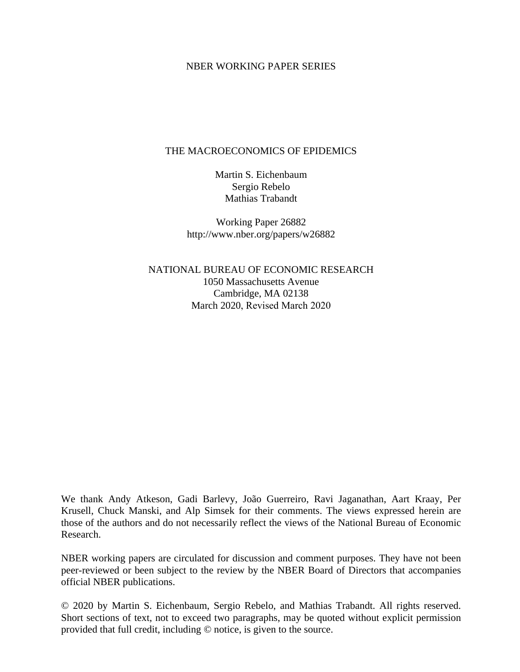#### NBER WORKING PAPER SERIES

#### THE MACROECONOMICS OF EPIDEMICS

Martin S. Eichenbaum Sergio Rebelo Mathias Trabandt

Working Paper 26882 http://www.nber.org/papers/w26882

NATIONAL BUREAU OF ECONOMIC RESEARCH 1050 Massachusetts Avenue Cambridge, MA 02138 March 2020, Revised March 2020

We thank Andy Atkeson, Gadi Barlevy, João Guerreiro, Ravi Jaganathan, Aart Kraay, Per Krusell, Chuck Manski, and Alp Simsek for their comments. The views expressed herein are those of the authors and do not necessarily reflect the views of the National Bureau of Economic Research.

NBER working papers are circulated for discussion and comment purposes. They have not been peer-reviewed or been subject to the review by the NBER Board of Directors that accompanies official NBER publications.

© 2020 by Martin S. Eichenbaum, Sergio Rebelo, and Mathias Trabandt. All rights reserved. Short sections of text, not to exceed two paragraphs, may be quoted without explicit permission provided that full credit, including © notice, is given to the source.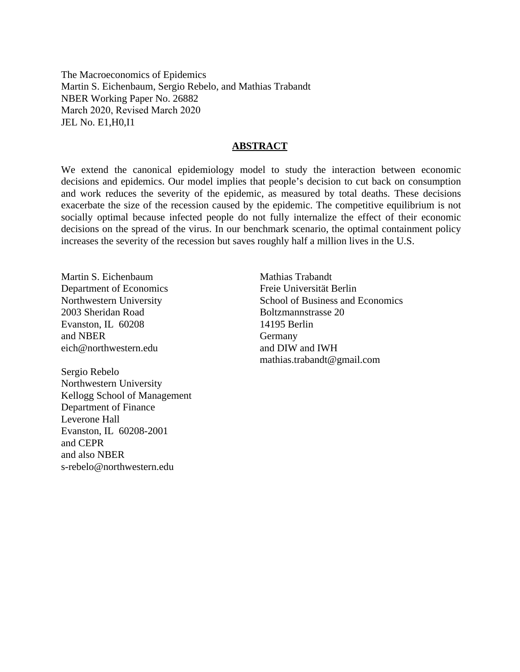The Macroeconomics of Epidemics Martin S. Eichenbaum, Sergio Rebelo, and Mathias Trabandt NBER Working Paper No. 26882 March 2020, Revised March 2020 JEL No. E1,H0,I1

#### **ABSTRACT**

We extend the canonical epidemiology model to study the interaction between economic decisions and epidemics. Our model implies that people's decision to cut back on consumption and work reduces the severity of the epidemic, as measured by total deaths. These decisions exacerbate the size of the recession caused by the epidemic. The competitive equilibrium is not socially optimal because infected people do not fully internalize the effect of their economic decisions on the spread of the virus. In our benchmark scenario, the optimal containment policy increases the severity of the recession but saves roughly half a million lives in the U.S.

Martin S. Eichenbaum Department of Economics Northwestern University 2003 Sheridan Road Evanston, IL 60208 and NBER eich@northwestern.edu

Sergio Rebelo Northwestern University Kellogg School of Management Department of Finance Leverone Hall Evanston, IL 60208-2001 and CEPR and also NBER s-rebelo@northwestern.edu

Mathias Trabandt Freie Universität Berlin School of Business and Economics Boltzmannstrasse 20 14195 Berlin Germany and DIW and IWH mathias.trabandt@gmail.com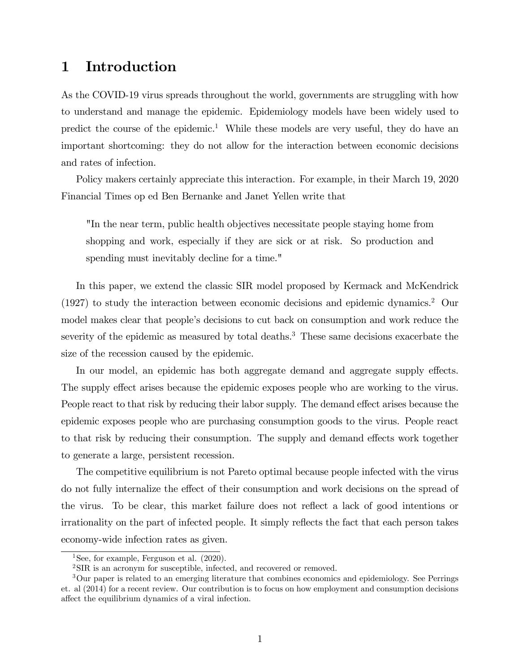## 1 Introduction

As the COVID-19 virus spreads throughout the world, governments are struggling with how to understand and manage the epidemic. Epidemiology models have been widely used to predict the course of the epidemic.<sup>1</sup> While these models are very useful, they do have an important shortcoming: they do not allow for the interaction between economic decisions and rates of infection.

Policy makers certainly appreciate this interaction. For example, in their March 19, 2020 Financial Times op ed Ben Bernanke and Janet Yellen write that

"In the near term, public health objectives necessitate people staying home from shopping and work, especially if they are sick or at risk. So production and spending must inevitably decline for a time."

In this paper, we extend the classic SIR model proposed by Kermack and McKendrick (1927) to study the interaction between economic decisions and epidemic dynamics.2 Our model makes clear that people's decisions to cut back on consumption and work reduce the severity of the epidemic as measured by total deaths.<sup>3</sup> These same decisions exacerbate the size of the recession caused by the epidemic.

In our model, an epidemic has both aggregate demand and aggregate supply effects. The supply effect arises because the epidemic exposes people who are working to the virus. People react to that risk by reducing their labor supply. The demand effect arises because the epidemic exposes people who are purchasing consumption goods to the virus. People react to that risk by reducing their consumption. The supply and demand effects work together to generate a large, persistent recession.

The competitive equilibrium is not Pareto optimal because people infected with the virus do not fully internalize the effect of their consumption and work decisions on the spread of the virus. To be clear, this market failure does not reflect a lack of good intentions or irrationality on the part of infected people. It simply reflects the fact that each person takes economy-wide infection rates as given.

<sup>&</sup>lt;sup>1</sup>See, for example, Ferguson et al.  $(2020)$ .

<sup>&</sup>lt;sup>2</sup>SIR is an acronym for susceptible, infected, and recovered or removed.

<sup>3</sup>Our paper is related to an emerging literature that combines economics and epidemiology. See Perrings et. al (2014) for a recent review. Our contribution is to focus on how employment and consumption decisions affect the equilibrium dynamics of a viral infection.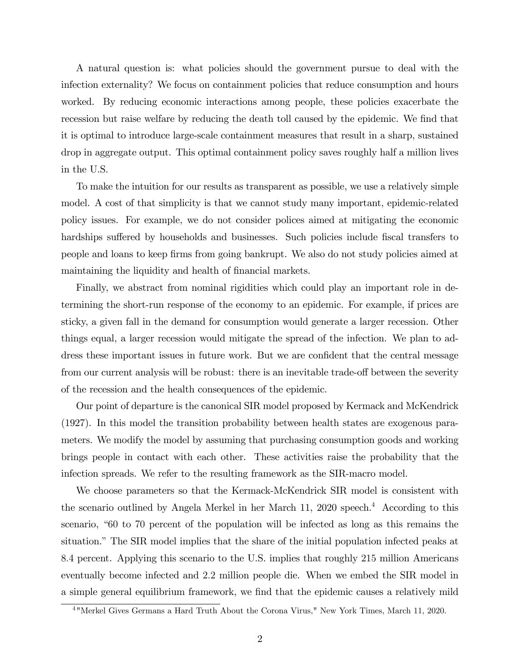A natural question is: what policies should the government pursue to deal with the infection externality? We focus on containment policies that reduce consumption and hours worked. By reducing economic interactions among people, these policies exacerbate the recession but raise welfare by reducing the death toll caused by the epidemic. We find that it is optimal to introduce large-scale containment measures that result in a sharp, sustained drop in aggregate output. This optimal containment policy saves roughly half a million lives in the U.S.

To make the intuition for our results as transparent as possible, we use a relatively simple model. A cost of that simplicity is that we cannot study many important, epidemic-related policy issues. For example, we do not consider polices aimed at mitigating the economic hardships suffered by households and businesses. Such policies include fiscal transfers to people and loans to keep firms from going bankrupt. We also do not study policies aimed at maintaining the liquidity and health of financial markets.

Finally, we abstract from nominal rigidities which could play an important role in determining the short-run response of the economy to an epidemic. For example, if prices are sticky, a given fall in the demand for consumption would generate a larger recession. Other things equal, a larger recession would mitigate the spread of the infection. We plan to address these important issues in future work. But we are confident that the central message from our current analysis will be robust: there is an inevitable trade-off between the severity of the recession and the health consequences of the epidemic.

Our point of departure is the canonical SIR model proposed by Kermack and McKendrick (1927). In this model the transition probability between health states are exogenous parameters. We modify the model by assuming that purchasing consumption goods and working brings people in contact with each other. These activities raise the probability that the infection spreads. We refer to the resulting framework as the SIR-macro model.

We choose parameters so that the Kermack-McKendrick SIR model is consistent with the scenario outlined by Angela Merkel in her March 11, 2020 speech.<sup>4</sup> According to this scenario, "60 to 70 percent of the population will be infected as long as this remains the situation." The SIR model implies that the share of the initial population infected peaks at 8:4 percent. Applying this scenario to the U.S. implies that roughly 215 million Americans eventually become infected and 2:2 million people die. When we embed the SIR model in a simple general equilibrium framework, we find that the epidemic causes a relatively mild

<sup>4</sup> "Merkel Gives Germans a Hard Truth About the Corona Virus," New York Times, March 11, 2020.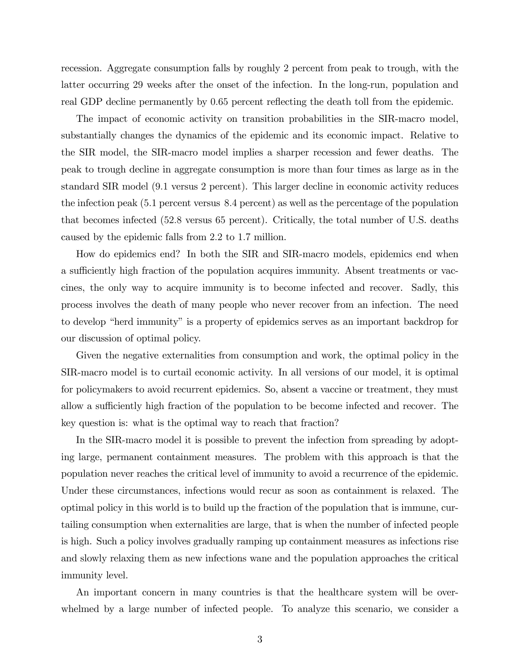recession. Aggregate consumption falls by roughly 2 percent from peak to trough, with the latter occurring 29 weeks after the onset of the infection. In the long-run, population and real GDP decline permanently by 0.65 percent reflecting the death toll from the epidemic.

The impact of economic activity on transition probabilities in the SIR-macro model, substantially changes the dynamics of the epidemic and its economic impact. Relative to the SIR model, the SIR-macro model implies a sharper recession and fewer deaths. The peak to trough decline in aggregate consumption is more than four times as large as in the standard SIR model (9:1 versus 2 percent). This larger decline in economic activity reduces the infection peak (5:1 percent versus 8:4 percent) as well as the percentage of the population that becomes infected (52:8 versus 65 percent). Critically, the total number of U.S. deaths caused by the epidemic falls from 2:2 to 1:7 million.

How do epidemics end? In both the SIR and SIR-macro models, epidemics end when a sufficiently high fraction of the population acquires immunity. Absent treatments or vaccines, the only way to acquire immunity is to become infected and recover. Sadly, this process involves the death of many people who never recover from an infection. The need to develop "herd immunity" is a property of epidemics serves as an important backdrop for our discussion of optimal policy.

Given the negative externalities from consumption and work, the optimal policy in the SIR-macro model is to curtail economic activity. In all versions of our model, it is optimal for policymakers to avoid recurrent epidemics. So, absent a vaccine or treatment, they must allow a sufficiently high fraction of the population to be become infected and recover. The key question is: what is the optimal way to reach that fraction?

In the SIR-macro model it is possible to prevent the infection from spreading by adopting large, permanent containment measures. The problem with this approach is that the population never reaches the critical level of immunity to avoid a recurrence of the epidemic. Under these circumstances, infections would recur as soon as containment is relaxed. The optimal policy in this world is to build up the fraction of the population that is immune, curtailing consumption when externalities are large, that is when the number of infected people is high. Such a policy involves gradually ramping up containment measures as infections rise and slowly relaxing them as new infections wane and the population approaches the critical immunity level.

An important concern in many countries is that the healthcare system will be overwhelmed by a large number of infected people. To analyze this scenario, we consider a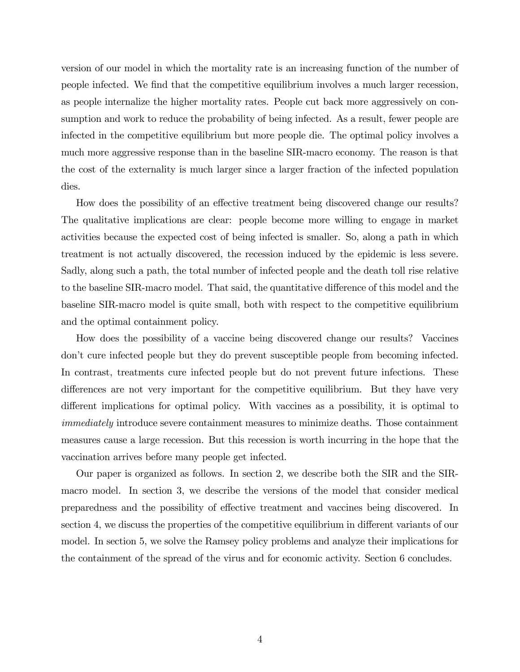version of our model in which the mortality rate is an increasing function of the number of people infected. We Önd that the competitive equilibrium involves a much larger recession, as people internalize the higher mortality rates. People cut back more aggressively on consumption and work to reduce the probability of being infected. As a result, fewer people are infected in the competitive equilibrium but more people die. The optimal policy involves a much more aggressive response than in the baseline SIR-macro economy. The reason is that the cost of the externality is much larger since a larger fraction of the infected population dies.

How does the possibility of an effective treatment being discovered change our results? The qualitative implications are clear: people become more willing to engage in market activities because the expected cost of being infected is smaller. So, along a path in which treatment is not actually discovered, the recession induced by the epidemic is less severe. Sadly, along such a path, the total number of infected people and the death toll rise relative to the baseline SIR-macro model. That said, the quantitative difference of this model and the baseline SIR-macro model is quite small, both with respect to the competitive equilibrium and the optimal containment policy.

How does the possibility of a vaccine being discovered change our results? Vaccines donít cure infected people but they do prevent susceptible people from becoming infected. In contrast, treatments cure infected people but do not prevent future infections. These differences are not very important for the competitive equilibrium. But they have very different implications for optimal policy. With vaccines as a possibility, it is optimal to immediately introduce severe containment measures to minimize deaths. Those containment measures cause a large recession. But this recession is worth incurring in the hope that the vaccination arrives before many people get infected.

Our paper is organized as follows. In section 2, we describe both the SIR and the SIRmacro model. In section 3, we describe the versions of the model that consider medical preparedness and the possibility of effective treatment and vaccines being discovered. In section 4, we discuss the properties of the competitive equilibrium in different variants of our model. In section 5, we solve the Ramsey policy problems and analyze their implications for the containment of the spread of the virus and for economic activity. Section 6 concludes.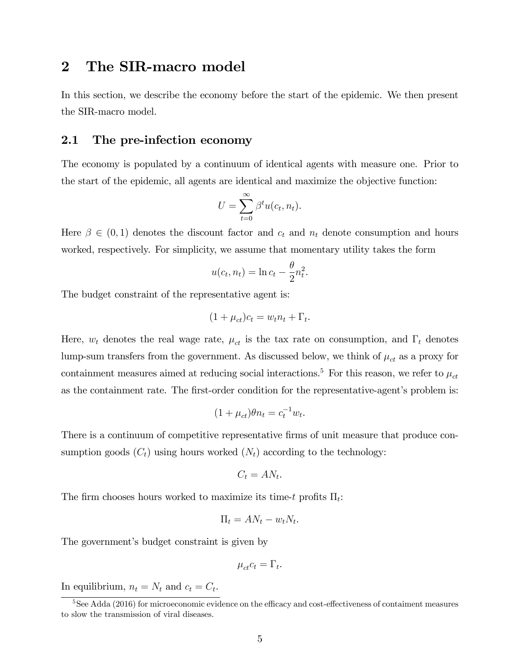## 2 The SIR-macro model

In this section, we describe the economy before the start of the epidemic. We then present the SIR-macro model.

### 2.1 The pre-infection economy

The economy is populated by a continuum of identical agents with measure one. Prior to the start of the epidemic, all agents are identical and maximize the objective function:

$$
U = \sum_{t=0}^{\infty} \beta^t u(c_t, n_t).
$$

Here  $\beta \in (0,1)$  denotes the discount factor and  $c_t$  and  $n_t$  denote consumption and hours worked, respectively. For simplicity, we assume that momentary utility takes the form

$$
u(c_t, n_t) = \ln c_t - \frac{\theta}{2} n_t^2.
$$

The budget constraint of the representative agent is:

$$
(1 + \mu_{ct})c_t = w_t n_t + \Gamma_t.
$$

Here,  $w_t$  denotes the real wage rate,  $\mu_{ct}$  is the tax rate on consumption, and  $\Gamma_t$  denotes lump-sum transfers from the government. As discussed below, we think of  $\mu_{ct}$  as a proxy for containment measures aimed at reducing social interactions.<sup>5</sup> For this reason, we refer to  $\mu_{ct}$ as the containment rate. The first-order condition for the representative-agent's problem is:

$$
(1 + \mu_{ct})\theta n_t = c_t^{-1}w_t.
$$

There is a continuum of competitive representative firms of unit measure that produce consumption goods  $(C_t)$  using hours worked  $(N_t)$  according to the technology:

$$
C_t = AN_t.
$$

The firm chooses hours worked to maximize its time-t profits  $\Pi_t$ :

$$
\Pi_t = AN_t - w_t N_t.
$$

The government's budget constraint is given by

$$
\mu_{ct}c_t = \Gamma_t.
$$

In equilibrium,  $n_t = N_t$  and  $c_t = C_t$ .

 $5$ See Adda (2016) for microeconomic evidence on the efficacy and cost-effectiveness of contaiment measures to slow the transmission of viral diseases.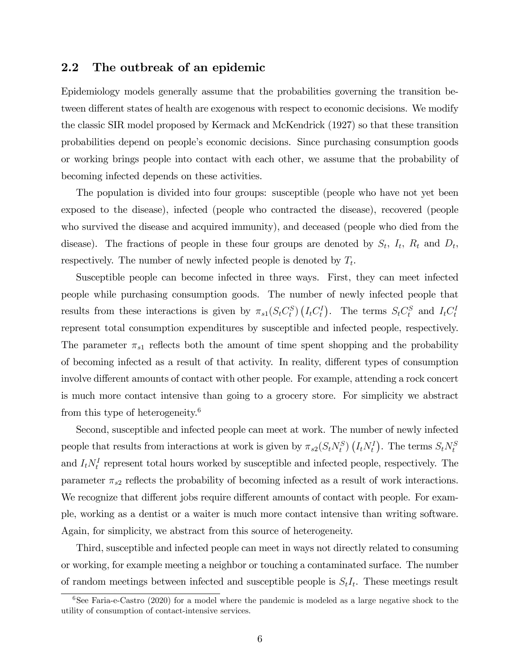### 2.2 The outbreak of an epidemic

Epidemiology models generally assume that the probabilities governing the transition between different states of health are exogenous with respect to economic decisions. We modify the classic SIR model proposed by Kermack and McKendrick (1927) so that these transition probabilities depend on peopleís economic decisions. Since purchasing consumption goods or working brings people into contact with each other, we assume that the probability of becoming infected depends on these activities.

The population is divided into four groups: susceptible (people who have not yet been exposed to the disease), infected (people who contracted the disease), recovered (people who survived the disease and acquired immunity), and deceased (people who died from the disease). The fractions of people in these four groups are denoted by  $S_t$ ,  $I_t$ ,  $R_t$  and  $D_t$ , respectively. The number of newly infected people is denoted by  $T_t$ .

Susceptible people can become infected in three ways. First, they can meet infected people while purchasing consumption goods. The number of newly infected people that results from these interactions is given by  $\pi_{s1}(S_t C_t^S) (I_t C_t^I)$ . The terms  $S_t C_t^S$  and  $I_t C_t^I$ represent total consumption expenditures by susceptible and infected people, respectively. The parameter  $\pi_{s1}$  reflects both the amount of time spent shopping and the probability of becoming infected as a result of that activity. In reality, different types of consumption involve different amounts of contact with other people. For example, attending a rock concert is much more contact intensive than going to a grocery store. For simplicity we abstract from this type of heterogeneity.<sup>6</sup>

Second, susceptible and infected people can meet at work. The number of newly infected people that results from interactions at work is given by  $\pi_{s2}(S_t N_t^S) (I_t N_t^I)$ . The terms  $S_t N_t^S$ and  $I_t N_t^I$  represent total hours worked by susceptible and infected people, respectively. The parameter  $\pi_{s2}$  reflects the probability of becoming infected as a result of work interactions. We recognize that different jobs require different amounts of contact with people. For example, working as a dentist or a waiter is much more contact intensive than writing software. Again, for simplicity, we abstract from this source of heterogeneity.

Third, susceptible and infected people can meet in ways not directly related to consuming or working, for example meeting a neighbor or touching a contaminated surface. The number of random meetings between infected and susceptible people is  $S_tI_t$ . These meetings result

 $6$ See Faria-e-Castro (2020) for a model where the pandemic is modeled as a large negative shock to the utility of consumption of contact-intensive services.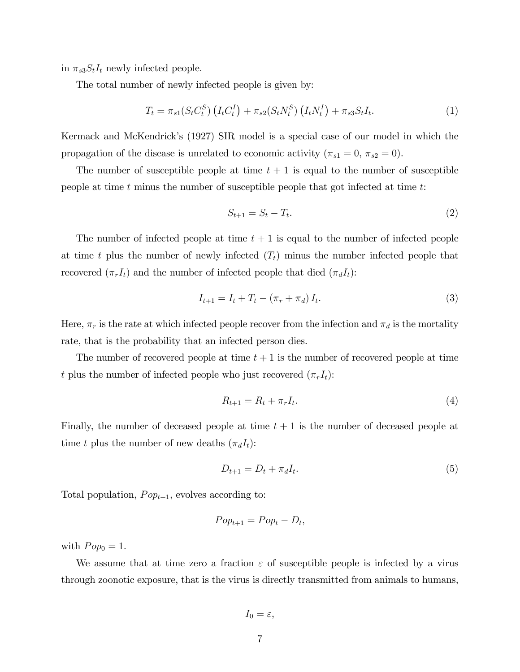in  $\pi_{s3}S_tI_t$  newly infected people.

The total number of newly infected people is given by:

$$
T_t = \pi_{s1}(S_t C_t^S) \left( I_t C_t^I \right) + \pi_{s2}(S_t N_t^S) \left( I_t N_t^I \right) + \pi_{s3} S_t I_t. \tag{1}
$$

Kermack and McKendrickís (1927) SIR model is a special case of our model in which the propagation of the disease is unrelated to economic activity ( $\pi_{s1} = 0$ ,  $\pi_{s2} = 0$ ).

The number of susceptible people at time  $t + 1$  is equal to the number of susceptible people at time t minus the number of susceptible people that got infected at time  $t$ :

$$
S_{t+1} = S_t - T_t. \tag{2}
$$

The number of infected people at time  $t + 1$  is equal to the number of infected people at time t plus the number of newly infected  $(T_t)$  minus the number infected people that recovered  $(\pi_rI_t)$  and the number of infected people that died  $(\pi_dI_t)$ :

$$
I_{t+1} = I_t + T_t - (\pi_r + \pi_d) I_t.
$$
 (3)

Here,  $\pi_r$  is the rate at which infected people recover from the infection and  $\pi_d$  is the mortality rate, that is the probability that an infected person dies.

The number of recovered people at time  $t + 1$  is the number of recovered people at time t plus the number of infected people who just recovered  $(\pi_rI_t)$ :

$$
R_{t+1} = R_t + \pi_r I_t. \tag{4}
$$

Finally, the number of deceased people at time  $t + 1$  is the number of deceased people at time t plus the number of new deaths  $(\pi_d I_t)$ :

$$
D_{t+1} = D_t + \pi_d I_t. \tag{5}
$$

Total population,  $Pop_{t+1}$ , evolves according to:

$$
Pop_{t+1}=Pop_t-D_t,
$$

with  $Pop_0 = 1$ .

We assume that at time zero a fraction  $\varepsilon$  of susceptible people is infected by a virus through zoonotic exposure, that is the virus is directly transmitted from animals to humans,

$$
I_0=\varepsilon,
$$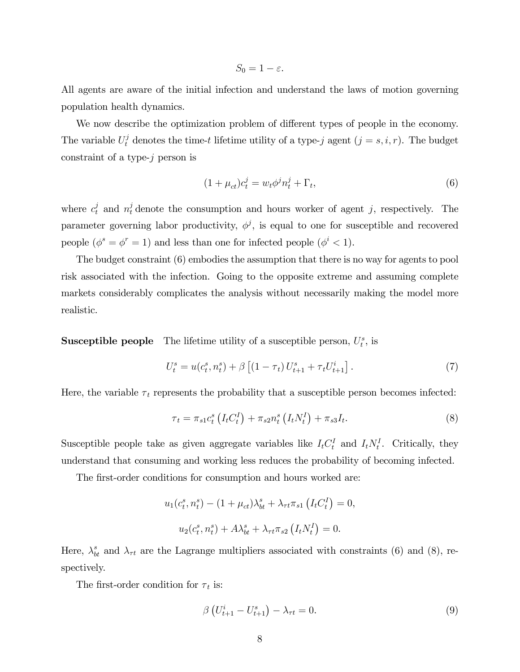$S_0 = 1 - \varepsilon$ .

All agents are aware of the initial infection and understand the laws of motion governing population health dynamics.

We now describe the optimization problem of different types of people in the economy. The variable  $U_t^j$  denotes the time-t lifetime utility of a type-j agent  $(j = s, i, r)$ . The budget constraint of a type-j person is

$$
(1 + \mu_{ct})c_t^j = w_t \phi^j n_t^j + \Gamma_t,
$$
\n<sup>(6)</sup>

where  $c_t^j$  and  $n_t^j$  denote the consumption and hours worker of agent j, respectively. The parameter governing labor productivity,  $\phi^j$ , is equal to one for susceptible and recovered people  $(\phi^s = \phi^r = 1)$  and less than one for infected people  $(\phi^i < 1)$ .

The budget constraint (6) embodies the assumption that there is no way for agents to pool risk associated with the infection. Going to the opposite extreme and assuming complete markets considerably complicates the analysis without necessarily making the model more realistic.

**Susceptible people** The lifetime utility of a susceptible person,  $U_t^s$ , is

$$
U_t^s = u(c_t^s, n_t^s) + \beta \left[ (1 - \tau_t) U_{t+1}^s + \tau_t U_{t+1}^i \right]. \tag{7}
$$

Here, the variable  $\tau_t$  represents the probability that a susceptible person becomes infected:

$$
\tau_t = \pi_{s1} c_t^s \left( I_t C_t^I \right) + \pi_{s2} n_t^s \left( I_t N_t^I \right) + \pi_{s3} I_t. \tag{8}
$$

Susceptible people take as given aggregate variables like  $I_t C_t^I$  and  $I_t N_t^I$ . Critically, they understand that consuming and working less reduces the probability of becoming infected.

The first-order conditions for consumption and hours worked are:

$$
u_1(c_t^s, n_t^s) - (1 + \mu_{ct})\lambda_{bt}^s + \lambda_{\tau t}\pi_{s1} (I_t C_t^I) = 0,
$$
  

$$
u_2(c_t^s, n_t^s) + A\lambda_{bt}^s + \lambda_{\tau t}\pi_{s2} (I_t N_t^I) = 0.
$$

Here,  $\lambda_{bt}^{s}$  and  $\lambda_{\tau t}$  are the Lagrange multipliers associated with constraints (6) and (8), respectively.

The first-order condition for  $\tau_t$  is:

$$
\beta \left( U_{t+1}^i - U_{t+1}^s \right) - \lambda_{\tau t} = 0. \tag{9}
$$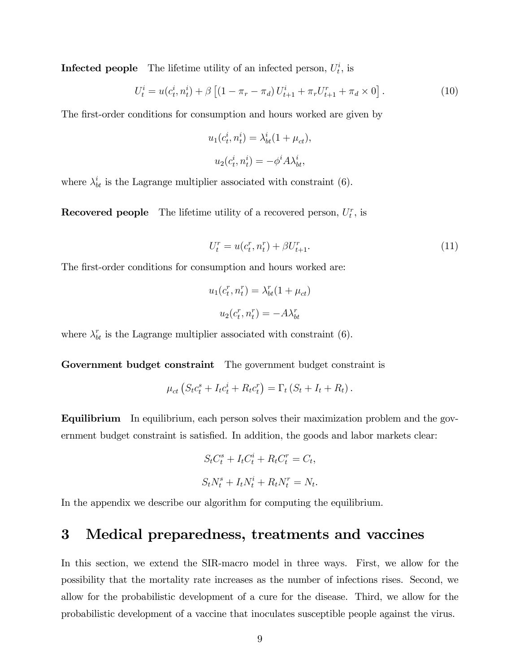**Infected people** The lifetime utility of an infected person,  $U_t^i$ , is

$$
U_t^i = u(c_t^i, n_t^i) + \beta \left[ (1 - \pi_r - \pi_d) U_{t+1}^i + \pi_r U_{t+1}^r + \pi_d \times 0 \right]. \tag{10}
$$

The first-order conditions for consumption and hours worked are given by

$$
u_1(c_t^i, n_t^i) = \lambda_{bt}^i (1 + \mu_{ct}),
$$
  

$$
u_2(c_t^i, n_t^i) = -\phi^i A \lambda_{bt}^i,
$$

where  $\lambda_{bt}^{i}$  is the Lagrange multiplier associated with constraint (6).

**Recovered people** The lifetime utility of a recovered person,  $U_t^r$ , is

$$
U_t^r = u(c_t^r, n_t^r) + \beta U_{t+1}^r.
$$
\n(11)

The first-order conditions for consumption and hours worked are:

$$
u_1(c_t^r, n_t^r) = \lambda_{bt}^r (1 + \mu_{ct})
$$

$$
u_2(c_t^r, n_t^r) = -A\lambda_{bt}^r
$$

where  $\lambda_{bt}^r$  is the Lagrange multiplier associated with constraint (6).

Government budget constraint The government budget constraint is

$$
\mu_{ct} \left( S_t c_t^s + I_t c_t^i + R_t c_t^r \right) = \Gamma_t \left( S_t + I_t + R_t \right).
$$

Equilibrium In equilibrium, each person solves their maximization problem and the government budget constraint is satisfied. In addition, the goods and labor markets clear:

$$
S_t C_t^s + I_t C_t^i + R_t C_t^r = C_t,
$$
  

$$
S_t N_t^s + I_t N_t^i + R_t N_t^r = N_t.
$$

In the appendix we describe our algorithm for computing the equilibrium.

## 3 Medical preparedness, treatments and vaccines

In this section, we extend the SIR-macro model in three ways. First, we allow for the possibility that the mortality rate increases as the number of infections rises. Second, we allow for the probabilistic development of a cure for the disease. Third, we allow for the probabilistic development of a vaccine that inoculates susceptible people against the virus.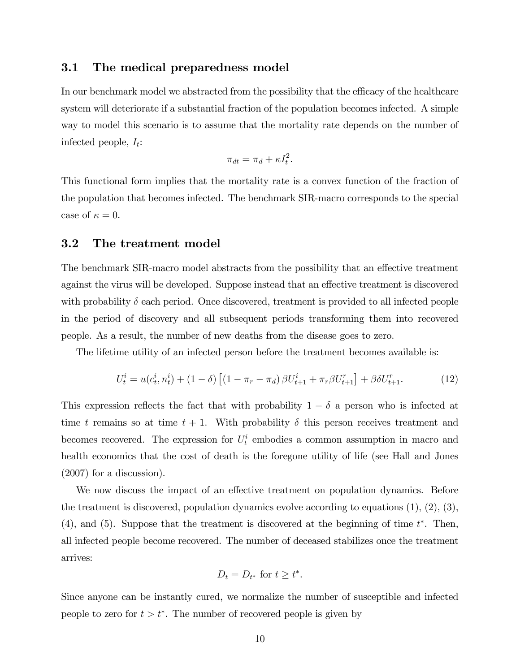### 3.1 The medical preparedness model

In our benchmark model we abstracted from the possibility that the efficacy of the healthcare system will deteriorate if a substantial fraction of the population becomes infected. A simple way to model this scenario is to assume that the mortality rate depends on the number of infected people,  $I_t$ :

$$
\pi_{dt} = \pi_d + \kappa I_t^2.
$$

This functional form implies that the mortality rate is a convex function of the fraction of the population that becomes infected. The benchmark SIR-macro corresponds to the special case of  $\kappa = 0$ .

#### 3.2 The treatment model

The benchmark SIR-macro model abstracts from the possibility that an effective treatment against the virus will be developed. Suppose instead that an effective treatment is discovered with probability  $\delta$  each period. Once discovered, treatment is provided to all infected people in the period of discovery and all subsequent periods transforming them into recovered people. As a result, the number of new deaths from the disease goes to zero.

The lifetime utility of an infected person before the treatment becomes available is:

$$
U_t^i = u(c_t^i, n_t^i) + (1 - \delta) \left[ (1 - \pi_r - \pi_d) \beta U_{t+1}^i + \pi_r \beta U_{t+1}^r \right] + \beta \delta U_{t+1}^r. \tag{12}
$$

This expression reflects the fact that with probability  $1 - \delta$  a person who is infected at time t remains so at time  $t + 1$ . With probability  $\delta$  this person receives treatment and becomes recovered. The expression for  $U_t^i$  embodies a common assumption in macro and health economics that the cost of death is the foregone utility of life (see Hall and Jones (2007) for a discussion).

We now discuss the impact of an effective treatment on population dynamics. Before the treatment is discovered, population dynamics evolve according to equations  $(1), (2), (3),$  $(4)$ , and  $(5)$ . Suppose that the treatment is discovered at the beginning of time  $t^*$ . Then, all infected people become recovered. The number of deceased stabilizes once the treatment arrives:

$$
D_t = D_{t^*} \text{ for } t \ge t^*.
$$

Since anyone can be instantly cured, we normalize the number of susceptible and infected people to zero for  $t>t^*$ . The number of recovered people is given by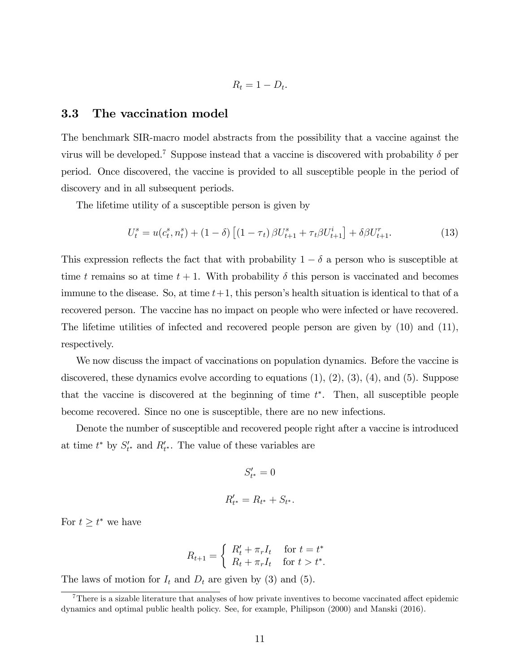$$
R_t = 1 - D_t.
$$

#### 3.3 The vaccination model

The benchmark SIR-macro model abstracts from the possibility that a vaccine against the virus will be developed.<sup>7</sup> Suppose instead that a vaccine is discovered with probability  $\delta$  per period. Once discovered, the vaccine is provided to all susceptible people in the period of discovery and in all subsequent periods.

The lifetime utility of a susceptible person is given by

$$
U_t^s = u(c_t^s, n_t^s) + (1 - \delta) \left[ (1 - \tau_t) \beta U_{t+1}^s + \tau_t \beta U_{t+1}^i \right] + \delta \beta U_{t+1}^r. \tag{13}
$$

This expression reflects the fact that with probability  $1 - \delta$  a person who is susceptible at time t remains so at time  $t + 1$ . With probability  $\delta$  this person is vaccinated and becomes immune to the disease. So, at time  $t+1$ , this person's health situation is identical to that of a recovered person. The vaccine has no impact on people who were infected or have recovered. The lifetime utilities of infected and recovered people person are given by (10) and (11), respectively.

We now discuss the impact of vaccinations on population dynamics. Before the vaccine is discovered, these dynamics evolve according to equations  $(1), (2), (3), (4),$  and  $(5)$ . Suppose that the vaccine is discovered at the beginning of time  $t^*$ . Then, all susceptible people become recovered. Since no one is susceptible, there are no new infections.

Denote the number of susceptible and recovered people right after a vaccine is introduced at time  $t^*$  by  $S'_{t^*}$  and  $R'_{t^*}$ . The value of these variables are

$$
S'_{t^*} = 0
$$
  

$$
R'_{t^*} = R_{t^*} + S_{t^*}.
$$

For  $t \geq t^*$  we have

$$
R_{t+1} = \begin{cases} R'_t + \pi_r I_t & \text{for } t = t^* \\ R_t + \pi_r I_t & \text{for } t > t^*. \end{cases}
$$

The laws of motion for  $I_t$  and  $D_t$  are given by (3) and (5).

 $7$ There is a sizable literature that analyses of how private inventives to become vaccinated affect epidemic dynamics and optimal public health policy. See, for example, Philipson (2000) and Manski (2016).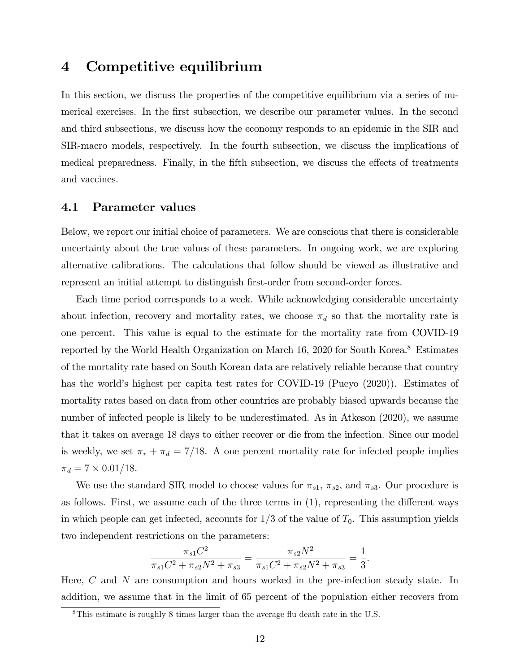## 4 Competitive equilibrium

In this section, we discuss the properties of the competitive equilibrium via a series of numerical exercises. In the first subsection, we describe our parameter values. In the second and third subsections, we discuss how the economy responds to an epidemic in the SIR and SIR-macro models, respectively. In the fourth subsection, we discuss the implications of medical preparedness. Finally, in the fifth subsection, we discuss the effects of treatments and vaccines.

#### 4.1 Parameter values

Below, we report our initial choice of parameters. We are conscious that there is considerable uncertainty about the true values of these parameters. In ongoing work, we are exploring alternative calibrations. The calculations that follow should be viewed as illustrative and represent an initial attempt to distinguish first-order from second-order forces.

Each time period corresponds to a week. While acknowledging considerable uncertainty about infection, recovery and mortality rates, we choose  $\pi_d$  so that the mortality rate is one percent. This value is equal to the estimate for the mortality rate from COVID-19 reported by the World Health Organization on March 16, 2020 for South Korea.8 Estimates of the mortality rate based on South Korean data are relatively reliable because that country has the world's highest per capita test rates for COVID-19 (Pueyo (2020)). Estimates of mortality rates based on data from other countries are probably biased upwards because the number of infected people is likely to be underestimated. As in Atkeson (2020), we assume that it takes on average 18 days to either recover or die from the infection. Since our model is weekly, we set  $\pi_r + \pi_d = 7/18$ . A one percent mortality rate for infected people implies  $\pi_d = 7 \times 0.01/18.$ 

We use the standard SIR model to choose values for  $\pi_{s1}$ ,  $\pi_{s2}$ , and  $\pi_{s3}$ . Our procedure is as follows. First, we assume each of the three terms in  $(1)$ , representing the different ways in which people can get infected, accounts for  $1/3$  of the value of  $T_0$ . This assumption yields two independent restrictions on the parameters:

$$
\frac{\pi_{s1}C^2}{\pi_{s1}C^2 + \pi_{s2}N^2 + \pi_{s3}} = \frac{\pi_{s2}N^2}{\pi_{s1}C^2 + \pi_{s2}N^2 + \pi_{s3}} = \frac{1}{3}.
$$

Here, C and N are consumption and hours worked in the pre-infection steady state. In addition, we assume that in the limit of 65 percent of the population either recovers from

 $8$ This estimate is roughly 8 times larger than the average flu death rate in the U.S.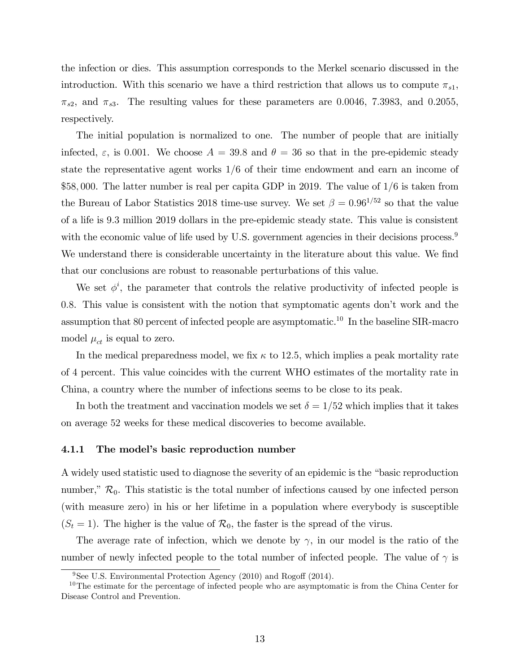the infection or dies. This assumption corresponds to the Merkel scenario discussed in the introduction. With this scenario we have a third restriction that allows us to compute  $\pi_{s1}$ ,  $\pi_{s2}$ , and  $\pi_{s3}$ . The resulting values for these parameters are 0.0046, 7.3983, and 0.2055, respectively.

The initial population is normalized to one. The number of people that are initially infected,  $\varepsilon$ , is 0.001. We choose  $A = 39.8$  and  $\theta = 36$  so that in the pre-epidemic steady state the representative agent works  $1/6$  of their time endowment and earn an income of \$58,000. The latter number is real per capita GDP in 2019. The value of  $1/6$  is taken from the Bureau of Labor Statistics 2018 time-use survey. We set  $\beta = 0.96^{1/52}$  so that the value of a life is 9:3 million 2019 dollars in the pre-epidemic steady state. This value is consistent with the economic value of life used by U.S. government agencies in their decisions process.<sup>9</sup> We understand there is considerable uncertainty in the literature about this value. We find that our conclusions are robust to reasonable perturbations of this value.

We set  $\phi^i$ , the parameter that controls the relative productivity of infected people is 0:8. This value is consistent with the notion that symptomatic agents donít work and the assumption that 80 percent of infected people are asymptomatic.<sup>10</sup> In the baseline SIR-macro model  $\mu_{ct}$  is equal to zero.

In the medical preparedness model, we fix  $\kappa$  to 12.5, which implies a peak mortality rate of 4 percent. This value coincides with the current WHO estimates of the mortality rate in China, a country where the number of infections seems to be close to its peak.

In both the treatment and vaccination models we set  $\delta = 1/52$  which implies that it takes on average 52 weeks for these medical discoveries to become available.

#### 4.1.1 The model's basic reproduction number

A widely used statistic used to diagnose the severity of an epidemic is the "basic reproduction" number,"  $\mathcal{R}_0$ . This statistic is the total number of infections caused by one infected person (with measure zero) in his or her lifetime in a population where everybody is susceptible  $(S_t = 1)$ . The higher is the value of  $\mathcal{R}_0$ , the faster is the spread of the virus.

The average rate of infection, which we denote by  $\gamma$ , in our model is the ratio of the number of newly infected people to the total number of infected people. The value of  $\gamma$  is

 $9$ See U.S. Environmental Protection Agency (2010) and Rogoff (2014).

<sup>&</sup>lt;sup>10</sup>The estimate for the percentage of infected people who are asymptomatic is from the China Center for Disease Control and Prevention.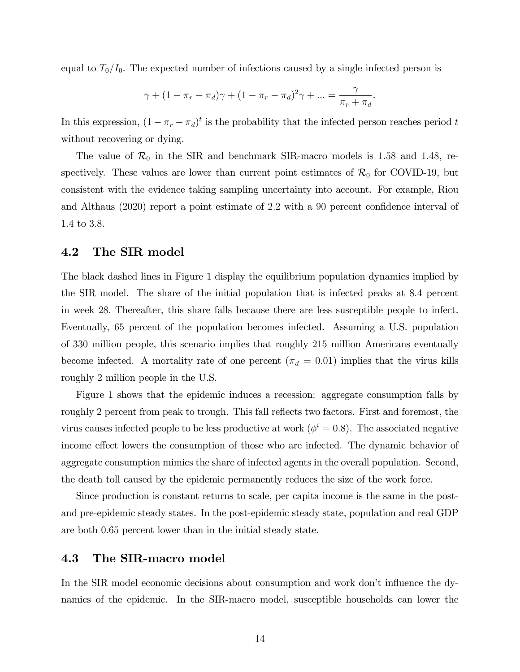equal to  $T_0/I_0$ . The expected number of infections caused by a single infected person is

$$
\gamma + (1 - \pi_r - \pi_d)\gamma + (1 - \pi_r - \pi_d)^2 \gamma + ... = \frac{\gamma}{\pi_r + \pi_d}.
$$

In this expression,  $(1 - \pi_r - \pi_d)^t$  is the probability that the infected person reaches period t without recovering or dying.

The value of  $\mathcal{R}_0$  in the SIR and benchmark SIR-macro models is 1.58 and 1.48, respectively. These values are lower than current point estimates of  $\mathcal{R}_0$  for COVID-19, but consistent with the evidence taking sampling uncertainty into account. For example, Riou and Althaus  $(2020)$  report a point estimate of 2.2 with a 90 percent confidence interval of 1:4 to 3:8.

#### 4.2 The SIR model

The black dashed lines in Figure 1 display the equilibrium population dynamics implied by the SIR model. The share of the initial population that is infected peaks at 8:4 percent in week 28. Thereafter, this share falls because there are less susceptible people to infect. Eventually, 65 percent of the population becomes infected. Assuming a U.S. population of 330 million people, this scenario implies that roughly 215 million Americans eventually become infected. A mortality rate of one percent ( $\pi_d = 0.01$ ) implies that the virus kills roughly 2 million people in the U.S.

Figure 1 shows that the epidemic induces a recession: aggregate consumption falls by roughly 2 percent from peak to trough. This fall reflects two factors. First and foremost, the virus causes infected people to be less productive at work ( $\phi^i = 0.8$ ). The associated negative income effect lowers the consumption of those who are infected. The dynamic behavior of aggregate consumption mimics the share of infected agents in the overall population. Second, the death toll caused by the epidemic permanently reduces the size of the work force.

Since production is constant returns to scale, per capita income is the same in the postand pre-epidemic steady states. In the post-epidemic steady state, population and real GDP are both 0:65 percent lower than in the initial steady state.

#### 4.3 The SIR-macro model

In the SIR model economic decisions about consumption and work don't influence the dynamics of the epidemic. In the SIR-macro model, susceptible households can lower the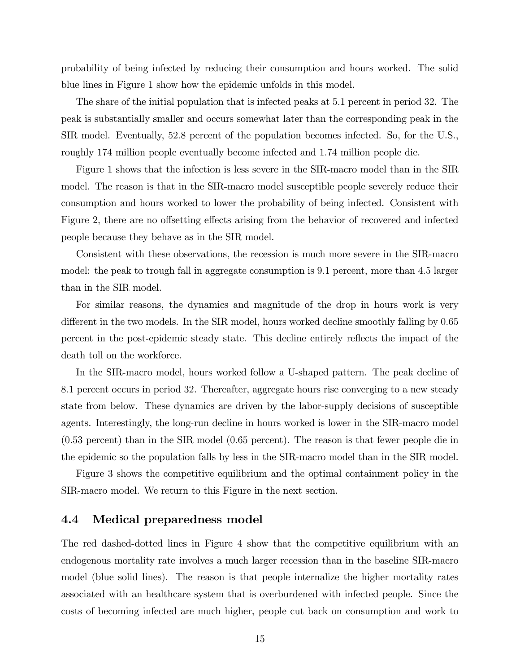probability of being infected by reducing their consumption and hours worked. The solid blue lines in Figure 1 show how the epidemic unfolds in this model.

The share of the initial population that is infected peaks at 5:1 percent in period 32. The peak is substantially smaller and occurs somewhat later than the corresponding peak in the SIR model. Eventually, 52:8 percent of the population becomes infected. So, for the U.S., roughly 174 million people eventually become infected and 1:74 million people die.

Figure 1 shows that the infection is less severe in the SIR-macro model than in the SIR model. The reason is that in the SIR-macro model susceptible people severely reduce their consumption and hours worked to lower the probability of being infected. Consistent with Figure 2, there are no offsetting effects arising from the behavior of recovered and infected people because they behave as in the SIR model.

Consistent with these observations, the recession is much more severe in the SIR-macro model: the peak to trough fall in aggregate consumption is 9:1 percent, more than 4:5 larger than in the SIR model.

For similar reasons, the dynamics and magnitude of the drop in hours work is very different in the two models. In the SIR model, hours worked decline smoothly falling by 0.65 percent in the post-epidemic steady state. This decline entirely reflects the impact of the death toll on the workforce.

In the SIR-macro model, hours worked follow a U-shaped pattern. The peak decline of 8:1 percent occurs in period 32. Thereafter, aggregate hours rise converging to a new steady state from below. These dynamics are driven by the labor-supply decisions of susceptible agents. Interestingly, the long-run decline in hours worked is lower in the SIR-macro model (0:53 percent) than in the SIR model (0:65 percent). The reason is that fewer people die in the epidemic so the population falls by less in the SIR-macro model than in the SIR model.

Figure 3 shows the competitive equilibrium and the optimal containment policy in the SIR-macro model. We return to this Figure in the next section.

#### 4.4 Medical preparedness model

The red dashed-dotted lines in Figure 4 show that the competitive equilibrium with an endogenous mortality rate involves a much larger recession than in the baseline SIR-macro model (blue solid lines). The reason is that people internalize the higher mortality rates associated with an healthcare system that is overburdened with infected people. Since the costs of becoming infected are much higher, people cut back on consumption and work to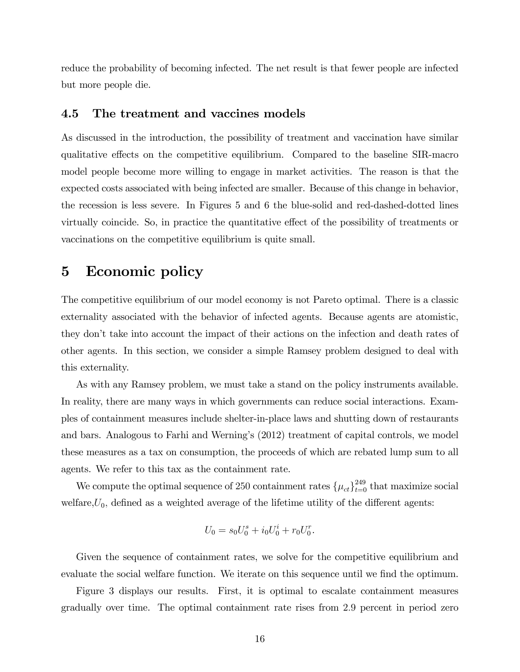reduce the probability of becoming infected. The net result is that fewer people are infected but more people die.

#### 4.5 The treatment and vaccines models

As discussed in the introduction, the possibility of treatment and vaccination have similar qualitative effects on the competitive equilibrium. Compared to the baseline SIR-macro model people become more willing to engage in market activities. The reason is that the expected costs associated with being infected are smaller. Because of this change in behavior, the recession is less severe. In Figures 5 and 6 the blue-solid and red-dashed-dotted lines virtually coincide. So, in practice the quantitative effect of the possibility of treatments or vaccinations on the competitive equilibrium is quite small.

### 5 Economic policy

The competitive equilibrium of our model economy is not Pareto optimal. There is a classic externality associated with the behavior of infected agents. Because agents are atomistic, they donít take into account the impact of their actions on the infection and death rates of other agents. In this section, we consider a simple Ramsey problem designed to deal with this externality.

As with any Ramsey problem, we must take a stand on the policy instruments available. In reality, there are many ways in which governments can reduce social interactions. Examples of containment measures include shelter-in-place laws and shutting down of restaurants and bars. Analogous to Farhi and Werningís (2012) treatment of capital controls, we model these measures as a tax on consumption, the proceeds of which are rebated lump sum to all agents. We refer to this tax as the containment rate.

We compute the optimal sequence of 250 containment rates  $\{\mu_{ct}\}_{t=0}^{249}$  that maximize social welfare, $U_0$ , defined as a weighted average of the lifetime utility of the different agents:

$$
U_0 = s_0 U_0^s + i_0 U_0^i + r_0 U_0^r.
$$

Given the sequence of containment rates, we solve for the competitive equilibrium and evaluate the social welfare function. We iterate on this sequence until we find the optimum.

Figure 3 displays our results. First, it is optimal to escalate containment measures gradually over time. The optimal containment rate rises from 2:9 percent in period zero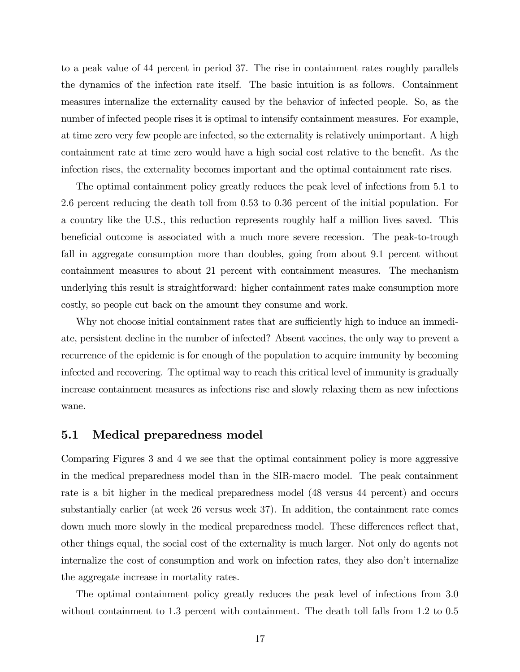to a peak value of 44 percent in period 37. The rise in containment rates roughly parallels the dynamics of the infection rate itself. The basic intuition is as follows. Containment measures internalize the externality caused by the behavior of infected people. So, as the number of infected people rises it is optimal to intensify containment measures. For example, at time zero very few people are infected, so the externality is relatively unimportant. A high containment rate at time zero would have a high social cost relative to the benefit. As the infection rises, the externality becomes important and the optimal containment rate rises.

The optimal containment policy greatly reduces the peak level of infections from 5:1 to 2:6 percent reducing the death toll from 0:53 to 0:36 percent of the initial population. For a country like the U.S., this reduction represents roughly half a million lives saved. This beneficial outcome is associated with a much more severe recession. The peak-to-trough fall in aggregate consumption more than doubles, going from about 9.1 percent without containment measures to about 21 percent with containment measures. The mechanism underlying this result is straightforward: higher containment rates make consumption more costly, so people cut back on the amount they consume and work.

Why not choose initial containment rates that are sufficiently high to induce an immediate, persistent decline in the number of infected? Absent vaccines, the only way to prevent a recurrence of the epidemic is for enough of the population to acquire immunity by becoming infected and recovering. The optimal way to reach this critical level of immunity is gradually increase containment measures as infections rise and slowly relaxing them as new infections wane.

#### 5.1 Medical preparedness model

Comparing Figures 3 and 4 we see that the optimal containment policy is more aggressive in the medical preparedness model than in the SIR-macro model. The peak containment rate is a bit higher in the medical preparedness model (48 versus 44 percent) and occurs substantially earlier (at week 26 versus week 37). In addition, the containment rate comes down much more slowly in the medical preparedness model. These differences reflect that, other things equal, the social cost of the externality is much larger. Not only do agents not internalize the cost of consumption and work on infection rates, they also don't internalize the aggregate increase in mortality rates.

The optimal containment policy greatly reduces the peak level of infections from 3:0 without containment to 1.3 percent with containment. The death toll falls from 1.2 to 0.5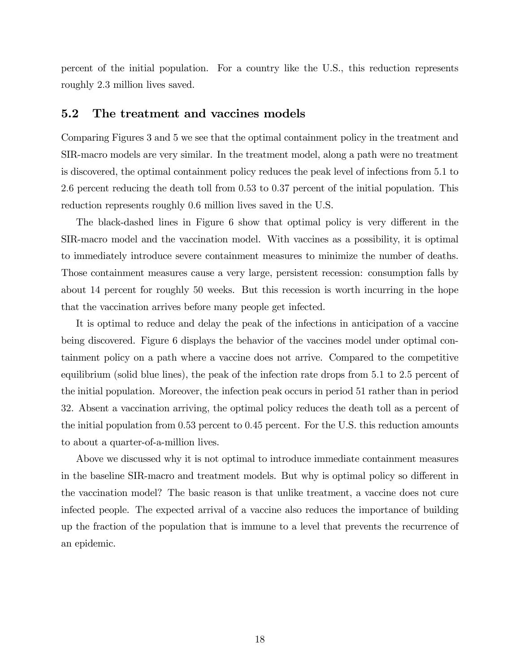percent of the initial population. For a country like the U.S., this reduction represents roughly 2:3 million lives saved.

#### 5.2 The treatment and vaccines models

Comparing Figures 3 and 5 we see that the optimal containment policy in the treatment and SIR-macro models are very similar. In the treatment model, along a path were no treatment is discovered, the optimal containment policy reduces the peak level of infections from 5:1 to 2:6 percent reducing the death toll from 0:53 to 0:37 percent of the initial population. This reduction represents roughly 0:6 million lives saved in the U.S.

The black-dashed lines in Figure 6 show that optimal policy is very different in the SIR-macro model and the vaccination model. With vaccines as a possibility, it is optimal to immediately introduce severe containment measures to minimize the number of deaths. Those containment measures cause a very large, persistent recession: consumption falls by about 14 percent for roughly 50 weeks. But this recession is worth incurring in the hope that the vaccination arrives before many people get infected.

It is optimal to reduce and delay the peak of the infections in anticipation of a vaccine being discovered. Figure 6 displays the behavior of the vaccines model under optimal containment policy on a path where a vaccine does not arrive. Compared to the competitive equilibrium (solid blue lines), the peak of the infection rate drops from 5:1 to 2:5 percent of the initial population. Moreover, the infection peak occurs in period 51 rather than in period 32. Absent a vaccination arriving, the optimal policy reduces the death toll as a percent of the initial population from 0:53 percent to 0:45 percent. For the U.S. this reduction amounts to about a quarter-of-a-million lives.

Above we discussed why it is not optimal to introduce immediate containment measures in the baseline SIR-macro and treatment models. But why is optimal policy so different in the vaccination model? The basic reason is that unlike treatment, a vaccine does not cure infected people. The expected arrival of a vaccine also reduces the importance of building up the fraction of the population that is immune to a level that prevents the recurrence of an epidemic.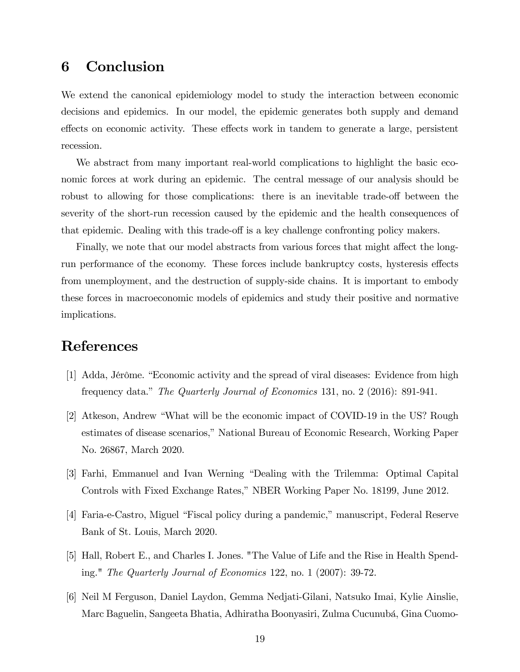## 6 Conclusion

We extend the canonical epidemiology model to study the interaction between economic decisions and epidemics. In our model, the epidemic generates both supply and demand effects on economic activity. These effects work in tandem to generate a large, persistent recession.

We abstract from many important real-world complications to highlight the basic economic forces at work during an epidemic. The central message of our analysis should be robust to allowing for those complications: there is an inevitable trade-off between the severity of the short-run recession caused by the epidemic and the health consequences of that epidemic. Dealing with this trade-off is a key challenge confronting policy makers.

Finally, we note that our model abstracts from various forces that might affect the longrun performance of the economy. These forces include bankruptcy costs, hysteresis effects from unemployment, and the destruction of supply-side chains. It is important to embody these forces in macroeconomic models of epidemics and study their positive and normative implications.

## References

- [1] Adda, Jérôme. "Economic activity and the spread of viral diseases: Evidence from high frequency data.î The Quarterly Journal of Economics 131, no. 2 (2016): 891-941.
- [2] Atkeson, Andrew "What will be the economic impact of COVID-19 in the US? Rough estimates of disease scenarios,î National Bureau of Economic Research, Working Paper No. 26867, March 2020.
- [3] Farhi, Emmanuel and Ivan Werning "Dealing with the Trilemma: Optimal Capital Controls with Fixed Exchange Rates,î NBER Working Paper No. 18199, June 2012.
- [4] Faria-e-Castro, Miguel "Fiscal policy during a pandemic," manuscript, Federal Reserve Bank of St. Louis, March 2020.
- [5] Hall, Robert E., and Charles I. Jones. "The Value of Life and the Rise in Health Spending." The Quarterly Journal of Economics 122, no. 1 (2007): 39-72.
- [6] Neil M Ferguson, Daniel Laydon, Gemma Nedjati-Gilani, Natsuko Imai, Kylie Ainslie, Marc Baguelin, Sangeeta Bhatia, Adhiratha Boonyasiri, Zulma Cucunubá, Gina Cuomo-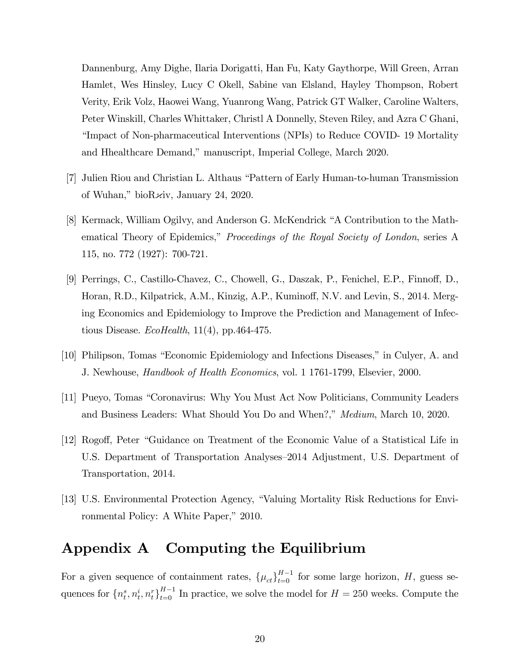Dannenburg, Amy Dighe, Ilaria Dorigatti, Han Fu, Katy Gaythorpe, Will Green, Arran Hamlet, Wes Hinsley, Lucy C Okell, Sabine van Elsland, Hayley Thompson, Robert Verity, Erik Volz, Haowei Wang, Yuanrong Wang, Patrick GT Walker, Caroline Walters, Peter Winskill, Charles Whittaker, Christl A Donnelly, Steven Riley, and Azra C Ghani, Elimpact of Non-pharmaceutical Interventions (NPIs) to Reduce COVID- 19 Mortality and Hhealthcare Demand," manuscript, Imperial College, March 2020.

- [7] Julien Riou and Christian L. Althaus "Pattern of Early Human-to-human Transmission of Wuhan," bio $R\overline{\varkappa}$ iv, January 24, 2020.
- [8] Kermack, William Ogilvy, and Anderson G. McKendrick "A Contribution to the Mathematical Theory of Epidemics," Proceedings of the Royal Society of London, series A 115, no. 772 (1927): 700-721.
- [9] Perrings, C., Castillo-Chavez, C., Chowell, G., Daszak, P., Fenichel, E.P., Finnoff, D., Horan, R.D., Kilpatrick, A.M., Kinzig, A.P., Kuminoff, N.V. and Levin, S., 2014. Merging Economics and Epidemiology to Improve the Prediction and Management of Infectious Disease.  $EcoHealth$ , 11(4), pp.464-475.
- [10] Philipson, Tomas "Economic Epidemiology and Infections Diseases," in Culyer, A. and J. Newhouse, *Handbook of Health Economics*, vol. 1 1761-1799, Elsevier, 2000.
- [11] Pueyo, Tomas ìCoronavirus: Why You Must Act Now Politicians, Community Leaders and Business Leaders: What Should You Do and When?," Medium, March 10, 2020.
- [12] Rogoff, Peter "Guidance on Treatment of the Economic Value of a Statistical Life in U.S. Department of Transportation Analyses–2014 Adjustment, U.S. Department of Transportation, 2014.
- [13] U.S. Environmental Protection Agency, "Valuing Mortality Risk Reductions for Environmental Policy: A White Paper," 2010.

## Appendix A Computing the Equilibrium

For a given sequence of containment rates,  $\{\mu_{ct}\}_{t=0}^{H-1}$  for some large horizon, H, guess sequences for  $\{n_t^s, n_t^i, n_t^r\}_{t=0}^{H-1}$  In practice, we solve the model for  $H = 250$  weeks. Compute the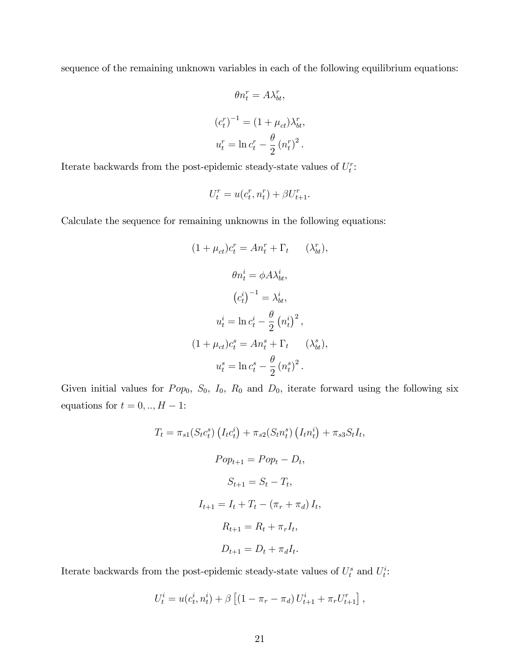sequence of the remaining unknown variables in each of the following equilibrium equations:

$$
\theta n_t^r = A \lambda_{bt}^r,
$$
  
\n
$$
(c_t^r)^{-1} = (1 + \mu_{ct}) \lambda_{bt}^r,
$$
  
\n
$$
u_t^r = \ln c_t^r - \frac{\theta}{2} (n_t^r)^2.
$$

Iterate backwards from the post-epidemic steady-state values of  $U_t^r$ :

$$
U_t^r = u(c_t^r, n_t^r) + \beta U_{t+1}^r.
$$

Calculate the sequence for remaining unknowns in the following equations:

$$
(1 + \mu_{ct})c_t^r = An_t^r + \Gamma_t \qquad (\lambda_{bt}^r),
$$

$$
\theta n_t^i = \phi A \lambda_{bt}^i,
$$

$$
(c_t^i)^{-1} = \lambda_{bt}^i,
$$

$$
u_t^i = \ln c_t^i - \frac{\theta}{2} (n_t^i)^2,
$$

$$
(1 + \mu_{ct})c_t^s = An_t^s + \Gamma_t \qquad (\lambda_{bt}^s),
$$

$$
u_t^s = \ln c_t^s - \frac{\theta}{2} (n_t^s)^2.
$$

Given initial values for  $Pop_0$ ,  $S_0$ ,  $I_0$ ,  $R_0$  and  $D_0$ , iterate forward using the following six equations for  $t = 0, \ldots, H - 1$ :

$$
T_{t} = \pi_{s1}(S_{t}c_{t}^{s}) (I_{t}c_{t}^{i}) + \pi_{s2}(S_{t}n_{t}^{s}) (I_{t}n_{t}^{i}) + \pi_{s3}S_{t}I_{t},
$$

$$
Pop_{t+1} = Pop_{t} - D_{t},
$$

$$
S_{t+1} = S_{t} - T_{t},
$$

$$
I_{t+1} = I_{t} + T_{t} - (\pi_{r} + \pi_{d}) I_{t},
$$

$$
R_{t+1} = R_{t} + \pi_{r}I_{t},
$$

$$
D_{t+1} = D_{t} + \pi_{d}I_{t}.
$$

Iterate backwards from the post-epidemic steady-state values of  $U_t^s$  and  $U_t^i$ :

$$
U_t^i = u(c_t^i, n_t^i) + \beta \left[ (1 - \pi_r - \pi_d) U_{t+1}^i + \pi_r U_{t+1}^r \right],
$$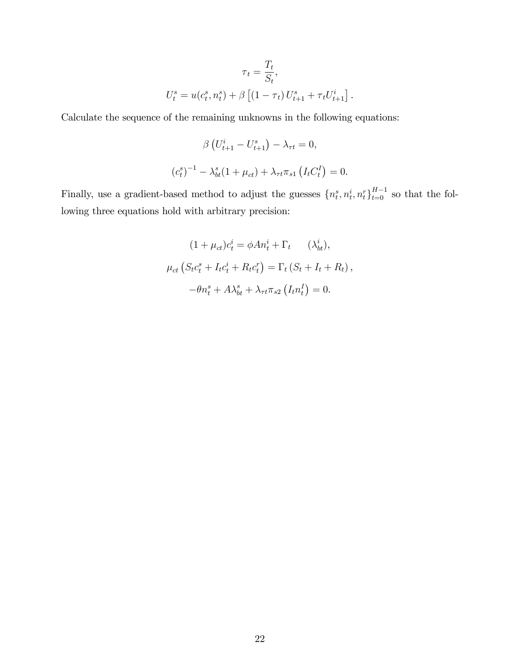$$
\tau_t = \frac{T_t}{S_t},
$$
  

$$
U_t^s = u(c_t^s, n_t^s) + \beta \left[ (1 - \tau_t) U_{t+1}^s + \tau_t U_{t+1}^i \right].
$$

Calculate the sequence of the remaining unknowns in the following equations:

$$
\beta \left( U_{t+1}^{i} - U_{t+1}^{s} \right) - \lambda_{\tau t} = 0,
$$
  

$$
\left( c_{t}^{s} \right)^{-1} - \lambda_{bt}^{s} (1 + \mu_{ct}) + \lambda_{\tau t} \pi_{s1} \left( I_{t} C_{t}^{I} \right) = 0.
$$

Finally, use a gradient-based method to adjust the guesses  $\{n_t^s, n_t^i, n_t^r\}_{t=0}^{H-1}$  so that the following three equations hold with arbitrary precision:

$$
(1 + \mu_{ct})c_t^i = \phi A n_t^i + \Gamma_t \qquad (\lambda_{bt}^i),
$$

$$
\mu_{ct} (S_t c_t^s + I_t c_t^i + R_t c_t^r) = \Gamma_t (S_t + I_t + R_t),
$$

$$
-\theta n_t^s + A \lambda_{bt}^s + \lambda_{\tau t} \pi_{s2} (I_t n_t^I) = 0.
$$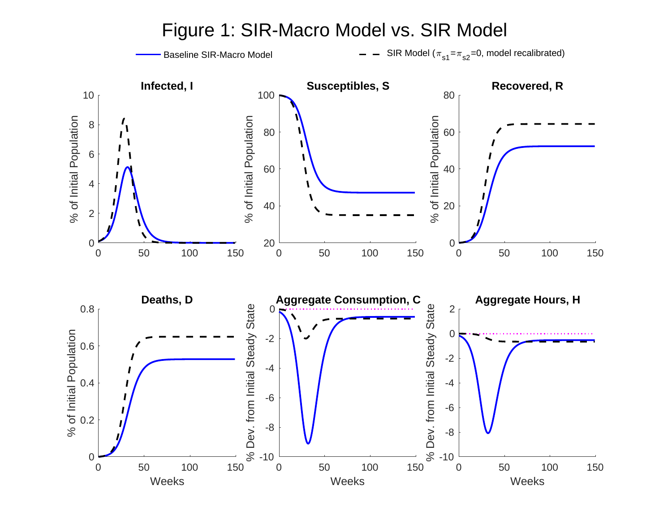

Figure 1: SIR-Macro Model vs. SIR Model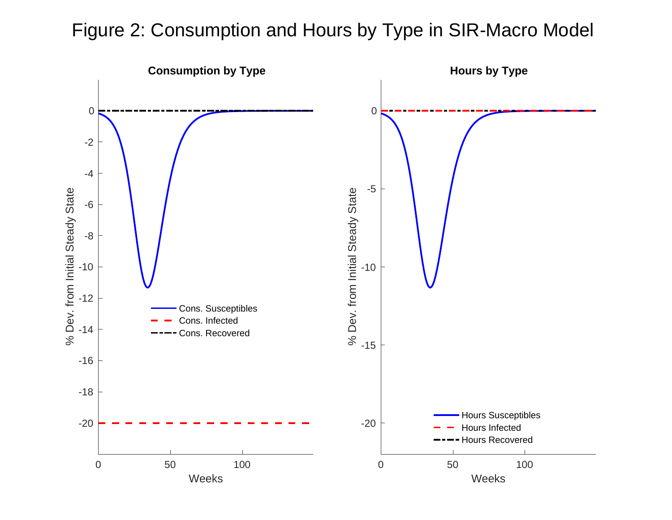# Figure 2: Consumption and Hours by Type in SIR-Macro Model

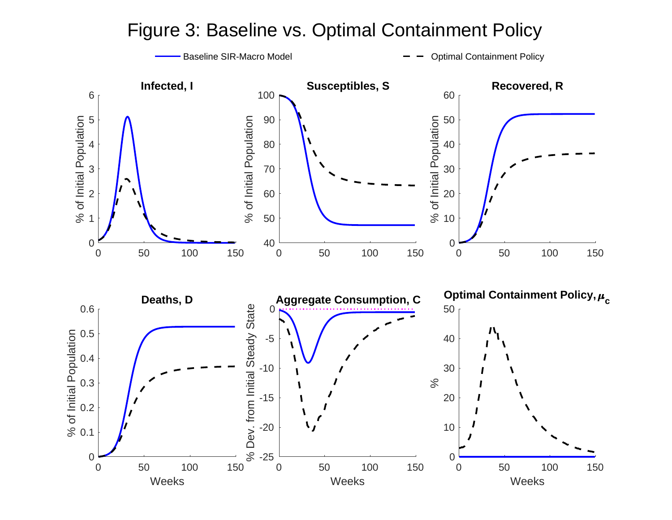# Figure 3: Baseline vs. Optimal Containment Policy

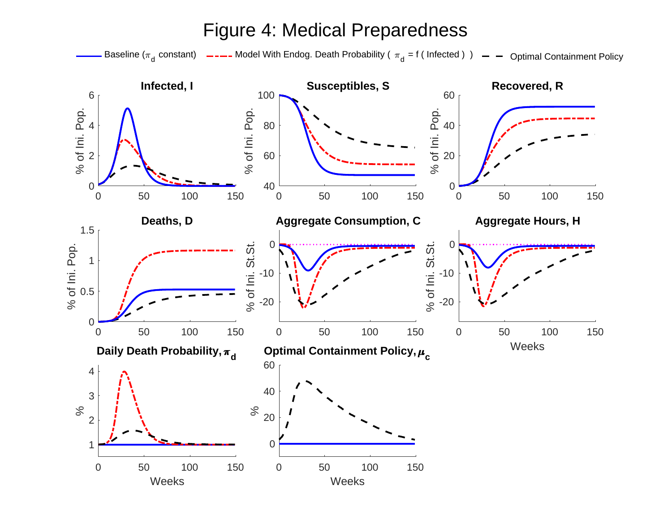# Figure 4: Medical Preparedness

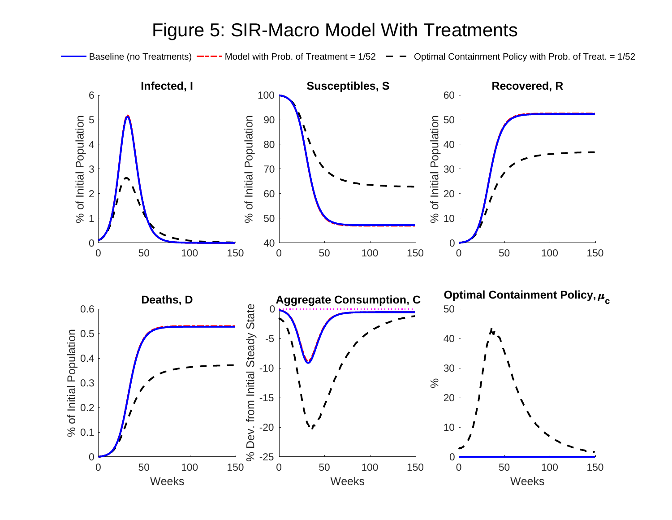# Figure 5: SIR-Macro Model With Treatments

Baseline (no Treatments)  $---$  Model with Prob. of Treatment = 1/52  $---$  Optimal Containment Policy with Prob. of Treat. = 1/52